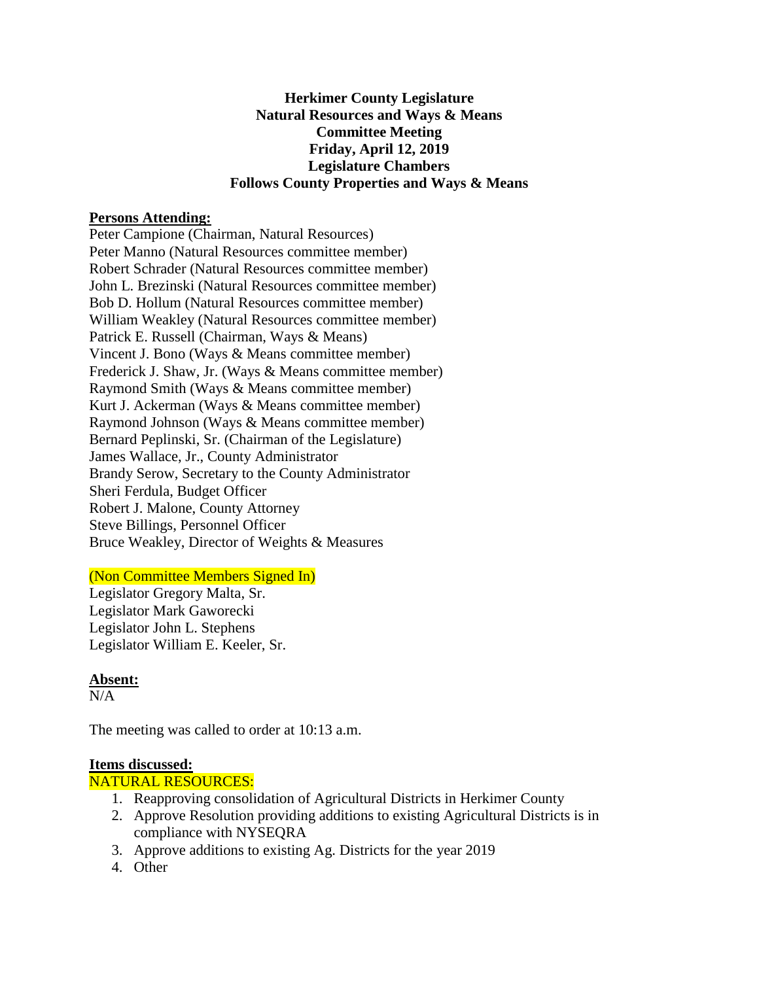## **Herkimer County Legislature Natural Resources and Ways & Means Committee Meeting Friday, April 12, 2019 Legislature Chambers Follows County Properties and Ways & Means**

## **Persons Attending:**

Peter Campione (Chairman, Natural Resources) Peter Manno (Natural Resources committee member) Robert Schrader (Natural Resources committee member) John L. Brezinski (Natural Resources committee member) Bob D. Hollum (Natural Resources committee member) William Weakley (Natural Resources committee member) Patrick E. Russell (Chairman, Ways & Means) Vincent J. Bono (Ways & Means committee member) Frederick J. Shaw, Jr. (Ways & Means committee member) Raymond Smith (Ways & Means committee member) Kurt J. Ackerman (Ways & Means committee member) Raymond Johnson (Ways & Means committee member) Bernard Peplinski, Sr. (Chairman of the Legislature) James Wallace, Jr., County Administrator Brandy Serow, Secretary to the County Administrator Sheri Ferdula, Budget Officer Robert J. Malone, County Attorney Steve Billings, Personnel Officer Bruce Weakley, Director of Weights & Measures

# (Non Committee Members Signed In)

Legislator Gregory Malta, Sr. Legislator Mark Gaworecki Legislator John L. Stephens Legislator William E. Keeler, Sr.

# **Absent:**

 $N/A$ 

The meeting was called to order at 10:13 a.m.

#### **Items discussed:**

#### NATURAL RESOURCES:

- 1. Reapproving consolidation of Agricultural Districts in Herkimer County
- 2. Approve Resolution providing additions to existing Agricultural Districts is in compliance with NYSEQRA
- 3. Approve additions to existing Ag. Districts for the year 2019
- 4. Other